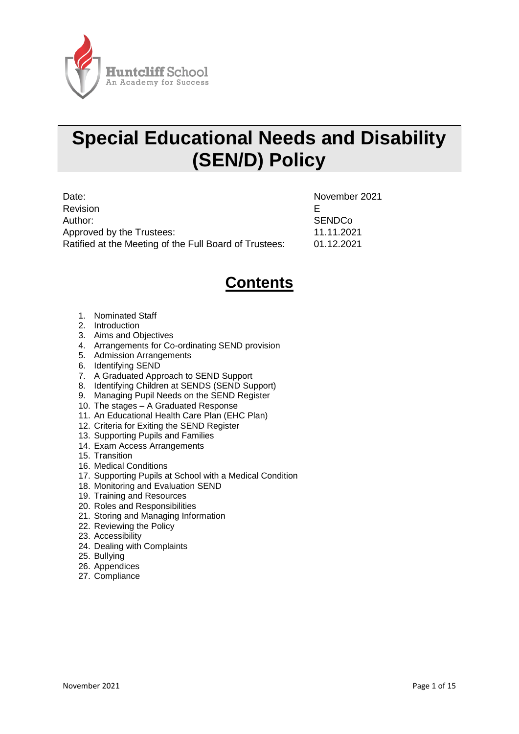

# **Special Educational Needs and Disability (SEN/D) Policy**

Date: November 2021 Revision **Exercise Exercise EXECUTE EXECUTE** Author: SENDCo Approved by the Trustees: 11.11.2021 Ratified at the Meeting of the Full Board of Trustees: 01.12.2021

# **Contents**

- 1. Nominated Staff
- 2. Introduction
- 3. Aims and Objectives
- 4. Arrangements for Co-ordinating SEND provision
- 5. Admission Arrangements
- 6. Identifying SEND
- 7. A Graduated Approach to SEND Support
- 8. Identifying Children at SENDS (SEND Support)
- 9. Managing Pupil Needs on the SEND Register
- 10. The stages A Graduated Response
- 11. An Educational Health Care Plan (EHC Plan)
- 12. Criteria for Exiting the SEND Register
- 13. Supporting Pupils and Families
- 14. Exam Access Arrangements
- 15. Transition
- 16. Medical Conditions
- 17. Supporting Pupils at School with a Medical Condition
- 18. Monitoring and Evaluation SEND
- 19. Training and Resources
- 20. Roles and Responsibilities
- 21. Storing and Managing Information
- 22. Reviewing the Policy
- 23. Accessibility
- 24. Dealing with Complaints
- 25. Bullying
- 26. Appendices
- 27. Compliance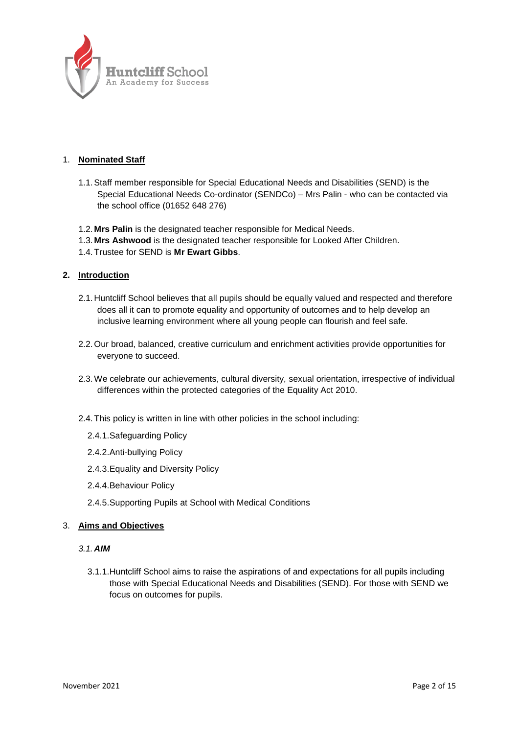

#### 1. **Nominated Staff**

- 1.1.Staff member responsible for Special Educational Needs and Disabilities (SEND) is the Special Educational Needs Co-ordinator (SENDCo) – Mrs Palin - who can be contacted via the school office (01652 648 276)
- 1.2. **Mrs Palin** is the designated teacher responsible for Medical Needs.
- 1.3. **Mrs Ashwood** is the designated teacher responsible for Looked After Children.
- 1.4.Trustee for SEND is **Mr Ewart Gibbs**.

#### **2. Introduction**

- 2.1.Huntcliff School believes that all pupils should be equally valued and respected and therefore does all it can to promote equality and opportunity of outcomes and to help develop an inclusive learning environment where all young people can flourish and feel safe.
- 2.2.Our broad, balanced, creative curriculum and enrichment activities provide opportunities for everyone to succeed.
- 2.3.We celebrate our achievements, cultural diversity, sexual orientation, irrespective of individual differences within the protected categories of the Equality Act 2010.
- 2.4.This policy is written in line with other policies in the school including:
	- 2.4.1.Safeguarding Policy
	- 2.4.2.Anti-bullying Policy
	- 2.4.3.Equality and Diversity Policy
	- 2.4.4.Behaviour Policy
	- 2.4.5.Supporting Pupils at School with Medical Conditions

#### 3. **Aims and Objectives**

#### *3.1.AIM*

3.1.1.Huntcliff School aims to raise the aspirations of and expectations for all pupils including those with Special Educational Needs and Disabilities (SEND). For those with SEND we focus on outcomes for pupils.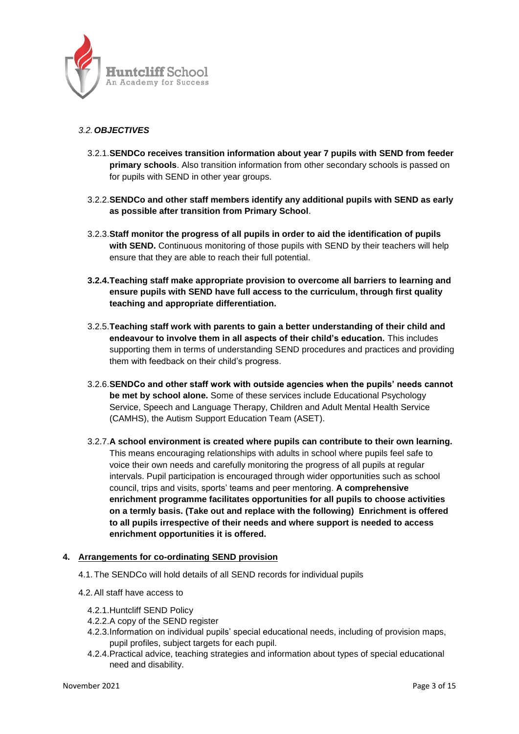

#### *3.2.OBJECTIVES*

- 3.2.1.**SENDCo receives transition information about year 7 pupils with SEND from feeder primary schools**. Also transition information from other secondary schools is passed on for pupils with SEND in other year groups.
- 3.2.2.**SENDCo and other staff members identify any additional pupils with SEND as early as possible after transition from Primary School**.
- 3.2.3.**Staff monitor the progress of all pupils in order to aid the identification of pupils with SEND.** Continuous monitoring of those pupils with SEND by their teachers will help ensure that they are able to reach their full potential.
- **3.2.4.Teaching staff make appropriate provision to overcome all barriers to learning and ensure pupils with SEND have full access to the curriculum, through first quality teaching and appropriate differentiation.**
- 3.2.5.**Teaching staff work with parents to gain a better understanding of their child and endeavour to involve them in all aspects of their child's education.** This includes supporting them in terms of understanding SEND procedures and practices and providing them with feedback on their child's progress.
- 3.2.6.**SENDCo and other staff work with outside agencies when the pupils' needs cannot be met by school alone.** Some of these services include Educational Psychology Service, Speech and Language Therapy, Children and Adult Mental Health Service (CAMHS), the Autism Support Education Team (ASET).
- 3.2.7.**A school environment is created where pupils can contribute to their own learning.** This means encouraging relationships with adults in school where pupils feel safe to voice their own needs and carefully monitoring the progress of all pupils at regular intervals. Pupil participation is encouraged through wider opportunities such as school council, trips and visits, sports' teams and peer mentoring. **A comprehensive enrichment programme facilitates opportunities for all pupils to choose activities on a termly basis. (Take out and replace with the following) Enrichment is offered to all pupils irrespective of their needs and where support is needed to access enrichment opportunities it is offered.**

#### **4. Arrangements for co-ordinating SEND provision**

- 4.1.The SENDCo will hold details of all SEND records for individual pupils
- 4.2.All staff have access to
	- 4.2.1.Huntcliff SEND Policy
	- 4.2.2.A copy of the SEND register
	- 4.2.3.Information on individual pupils' special educational needs, including of provision maps, pupil profiles, subject targets for each pupil.
	- 4.2.4.Practical advice, teaching strategies and information about types of special educational need and disability.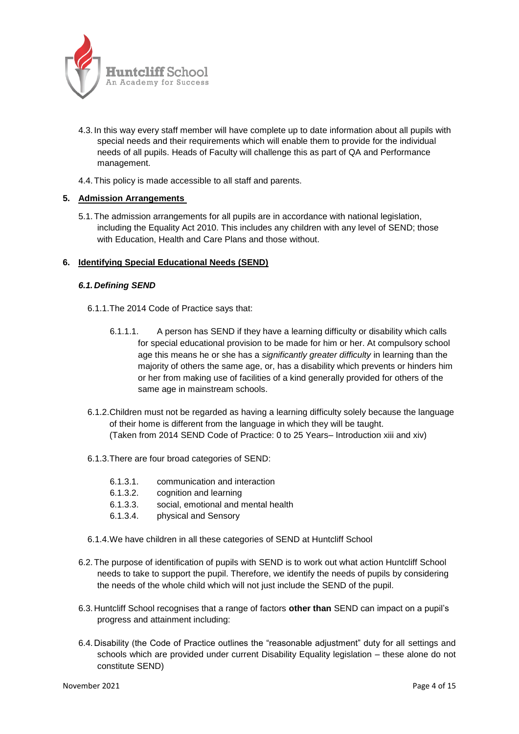

- 4.3. In this way every staff member will have complete up to date information about all pupils with special needs and their requirements which will enable them to provide for the individual needs of all pupils. Heads of Faculty will challenge this as part of QA and Performance management.
- 4.4.This policy is made accessible to all staff and parents.

#### **5. Admission Arrangements**

5.1.The admission arrangements for all pupils are in accordance with national legislation, including the Equality Act 2010. This includes any children with any level of SEND; those with Education, Health and Care Plans and those without.

#### **6. Identifying Special Educational Needs (SEND)**

#### *6.1.Defining SEND*

- 6.1.1.The 2014 Code of Practice says that:
	- 6.1.1.1. A person has SEND if they have a learning difficulty or disability which calls for special educational provision to be made for him or her. At compulsory school age this means he or she has a *significantly greater difficulty* in learning than the majority of others the same age, or, has a disability which prevents or hinders him or her from making use of facilities of a kind generally provided for others of the same age in mainstream schools.
- 6.1.2.Children must not be regarded as having a learning difficulty solely because the language of their home is different from the language in which they will be taught. (Taken from 2014 SEND Code of Practice: 0 to 25 Years– Introduction xiii and xiv)
- 6.1.3.There are four broad categories of SEND:
	- 6.1.3.1. communication and interaction
	- 6.1.3.2. cognition and learning
	- 6.1.3.3. social, emotional and mental health
	- 6.1.3.4. physical and Sensory
- 6.1.4.We have children in all these categories of SEND at Huntcliff School
- 6.2.The purpose of identification of pupils with SEND is to work out what action Huntcliff School needs to take to support the pupil. Therefore, we identify the needs of pupils by considering the needs of the whole child which will not just include the SEND of the pupil.
- 6.3.Huntcliff School recognises that a range of factors **other than** SEND can impact on a pupil's progress and attainment including:
- 6.4.Disability (the Code of Practice outlines the "reasonable adjustment" duty for all settings and schools which are provided under current Disability Equality legislation – these alone do not constitute SEND)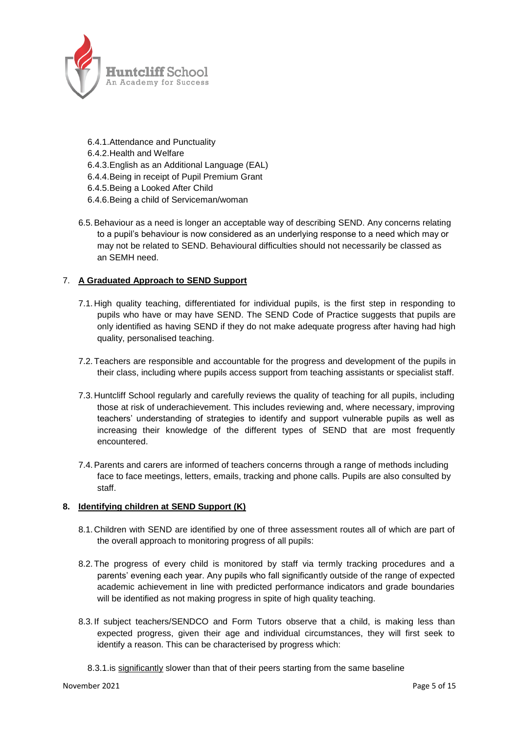

- 6.4.1.Attendance and Punctuality
- 6.4.2.Health and Welfare
- 6.4.3.English as an Additional Language (EAL)
- 6.4.4.Being in receipt of Pupil Premium Grant
- 6.4.5.Being a Looked After Child
- 6.4.6.Being a child of Serviceman/woman
- 6.5.Behaviour as a need is longer an acceptable way of describing SEND. Any concerns relating to a pupil's behaviour is now considered as an underlying response to a need which may or may not be related to SEND. Behavioural difficulties should not necessarily be classed as an SEMH need.

#### 7. **A Graduated Approach to SEND Support**

- 7.1.High quality teaching, differentiated for individual pupils, is the first step in responding to pupils who have or may have SEND. The SEND Code of Practice suggests that pupils are only identified as having SEND if they do not make adequate progress after having had high quality, personalised teaching.
- 7.2.Teachers are responsible and accountable for the progress and development of the pupils in their class, including where pupils access support from teaching assistants or specialist staff.
- 7.3.Huntcliff School regularly and carefully reviews the quality of teaching for all pupils, including those at risk of underachievement. This includes reviewing and, where necessary, improving teachers' understanding of strategies to identify and support vulnerable pupils as well as increasing their knowledge of the different types of SEND that are most frequently encountered.
- 7.4.Parents and carers are informed of teachers concerns through a range of methods including face to face meetings, letters, emails, tracking and phone calls. Pupils are also consulted by staff.

#### **8. Identifying children at SEND Support (K)**

- 8.1.Children with SEND are identified by one of three assessment routes all of which are part of the overall approach to monitoring progress of all pupils:
- 8.2.The progress of every child is monitored by staff via termly tracking procedures and a parents' evening each year. Any pupils who fall significantly outside of the range of expected academic achievement in line with predicted performance indicators and grade boundaries will be identified as not making progress in spite of high quality teaching.
- 8.3. If subject teachers/SENDCO and Form Tutors observe that a child, is making less than expected progress, given their age and individual circumstances, they will first seek to identify a reason. This can be characterised by progress which:
	- 8.3.1.is significantly slower than that of their peers starting from the same baseline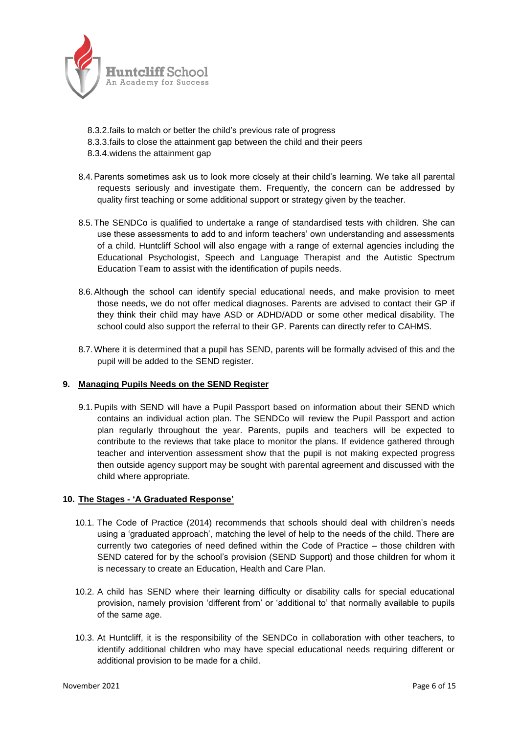

- 8.3.2.fails to match or better the child's previous rate of progress
- 8.3.3.fails to close the attainment gap between the child and their peers
- 8.3.4.widens the attainment gap
- 8.4.Parents sometimes ask us to look more closely at their child's learning. We take all parental requests seriously and investigate them. Frequently, the concern can be addressed by quality first teaching or some additional support or strategy given by the teacher.
- 8.5.The SENDCo is qualified to undertake a range of standardised tests with children. She can use these assessments to add to and inform teachers' own understanding and assessments of a child. Huntcliff School will also engage with a range of external agencies including the Educational Psychologist, Speech and Language Therapist and the Autistic Spectrum Education Team to assist with the identification of pupils needs.
- 8.6.Although the school can identify special educational needs, and make provision to meet those needs, we do not offer medical diagnoses. Parents are advised to contact their GP if they think their child may have ASD or ADHD/ADD or some other medical disability. The school could also support the referral to their GP. Parents can directly refer to CAHMS.
- 8.7.Where it is determined that a pupil has SEND, parents will be formally advised of this and the pupil will be added to the SEND register.

#### **9. Managing Pupils Needs on the SEND Register**

9.1.Pupils with SEND will have a Pupil Passport based on information about their SEND which contains an individual action plan. The SENDCo will review the Pupil Passport and action plan regularly throughout the year. Parents, pupils and teachers will be expected to contribute to the reviews that take place to monitor the plans. If evidence gathered through teacher and intervention assessment show that the pupil is not making expected progress then outside agency support may be sought with parental agreement and discussed with the child where appropriate.

#### **10. The Stages - 'A Graduated Response'**

- 10.1. The Code of Practice (2014) recommends that schools should deal with children's needs using a 'graduated approach', matching the level of help to the needs of the child. There are currently two categories of need defined within the Code of Practice – those children with SEND catered for by the school's provision (SEND Support) and those children for whom it is necessary to create an Education, Health and Care Plan.
- 10.2. A child has SEND where their learning difficulty or disability calls for special educational provision, namely provision 'different from' or 'additional to' that normally available to pupils of the same age.
- 10.3. At Huntcliff, it is the responsibility of the SENDCo in collaboration with other teachers, to identify additional children who may have special educational needs requiring different or additional provision to be made for a child.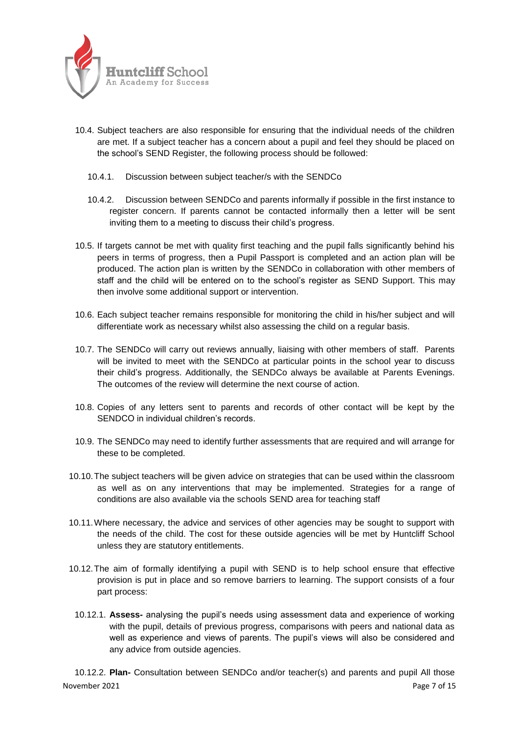

- 10.4. Subject teachers are also responsible for ensuring that the individual needs of the children are met. If a subject teacher has a concern about a pupil and feel they should be placed on the school's SEND Register, the following process should be followed:
	- 10.4.1. Discussion between subject teacher/s with the SENDCo
	- 10.4.2. Discussion between SENDCo and parents informally if possible in the first instance to register concern. If parents cannot be contacted informally then a letter will be sent inviting them to a meeting to discuss their child's progress.
- 10.5. If targets cannot be met with quality first teaching and the pupil falls significantly behind his peers in terms of progress, then a Pupil Passport is completed and an action plan will be produced. The action plan is written by the SENDCo in collaboration with other members of staff and the child will be entered on to the school's register as SEND Support. This may then involve some additional support or intervention.
- 10.6. Each subject teacher remains responsible for monitoring the child in his/her subject and will differentiate work as necessary whilst also assessing the child on a regular basis.
- 10.7. The SENDCo will carry out reviews annually, liaising with other members of staff. Parents will be invited to meet with the SENDCo at particular points in the school year to discuss their child's progress. Additionally, the SENDCo always be available at Parents Evenings. The outcomes of the review will determine the next course of action.
- 10.8. Copies of any letters sent to parents and records of other contact will be kept by the SENDCO in individual children's records.
- 10.9. The SENDCo may need to identify further assessments that are required and will arrange for these to be completed.
- 10.10.The subject teachers will be given advice on strategies that can be used within the classroom as well as on any interventions that may be implemented. Strategies for a range of conditions are also available via the schools SEND area for teaching staff
- 10.11.Where necessary, the advice and services of other agencies may be sought to support with the needs of the child. The cost for these outside agencies will be met by Huntcliff School unless they are statutory entitlements.
- 10.12.The aim of formally identifying a pupil with SEND is to help school ensure that effective provision is put in place and so remove barriers to learning. The support consists of a four part process:
	- 10.12.1. **Assess-** analysing the pupil's needs using assessment data and experience of working with the pupil, details of previous progress, comparisons with peers and national data as well as experience and views of parents. The pupil's views will also be considered and any advice from outside agencies.

November 2021 **Page 7 of 15** 10.12.2. **Plan-** Consultation between SENDCo and/or teacher(s) and parents and pupil All those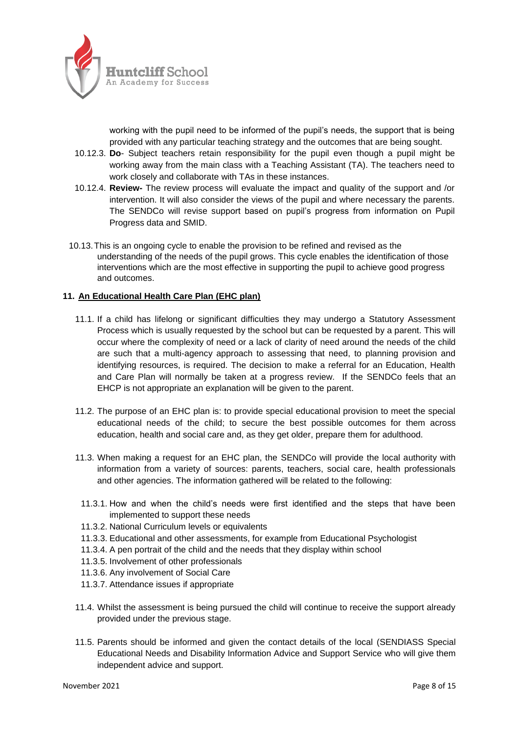

working with the pupil need to be informed of the pupil's needs, the support that is being provided with any particular teaching strategy and the outcomes that are being sought.

- 10.12.3. **Do** Subject teachers retain responsibility for the pupil even though a pupil might be working away from the main class with a Teaching Assistant (TA). The teachers need to work closely and collaborate with TAs in these instances.
- 10.12.4. **Review-** The review process will evaluate the impact and quality of the support and /or intervention. It will also consider the views of the pupil and where necessary the parents. The SENDCo will revise support based on pupil's progress from information on Pupil Progress data and SMID.
- 10.13.This is an ongoing cycle to enable the provision to be refined and revised as the understanding of the needs of the pupil grows. This cycle enables the identification of those interventions which are the most effective in supporting the pupil to achieve good progress and outcomes.

#### **11. An Educational Health Care Plan (EHC plan)**

- 11.1. If a child has lifelong or significant difficulties they may undergo a Statutory Assessment Process which is usually requested by the school but can be requested by a parent. This will occur where the complexity of need or a lack of clarity of need around the needs of the child are such that a multi-agency approach to assessing that need, to planning provision and identifying resources, is required. The decision to make a referral for an Education, Health and Care Plan will normally be taken at a progress review. If the SENDCo feels that an EHCP is not appropriate an explanation will be given to the parent.
- 11.2. The purpose of an EHC plan is: to provide special educational provision to meet the special educational needs of the child; to secure the best possible outcomes for them across education, health and social care and, as they get older, prepare them for adulthood.
- 11.3. When making a request for an EHC plan, the SENDCo will provide the local authority with information from a variety of sources: parents, teachers, social care, health professionals and other agencies. The information gathered will be related to the following:
- 11.3.1. How and when the child's needs were first identified and the steps that have been implemented to support these needs
- 11.3.2. National Curriculum levels or equivalents
- 11.3.3. Educational and other assessments, for example from Educational Psychologist
- 11.3.4. A pen portrait of the child and the needs that they display within school
- 11.3.5. Involvement of other professionals
- 11.3.6. Any involvement of Social Care
- 11.3.7. Attendance issues if appropriate
- 11.4. Whilst the assessment is being pursued the child will continue to receive the support already provided under the previous stage.
- 11.5. Parents should be informed and given the contact details of the local (SENDIASS Special Educational Needs and Disability Information Advice and Support Service who will give them independent advice and support.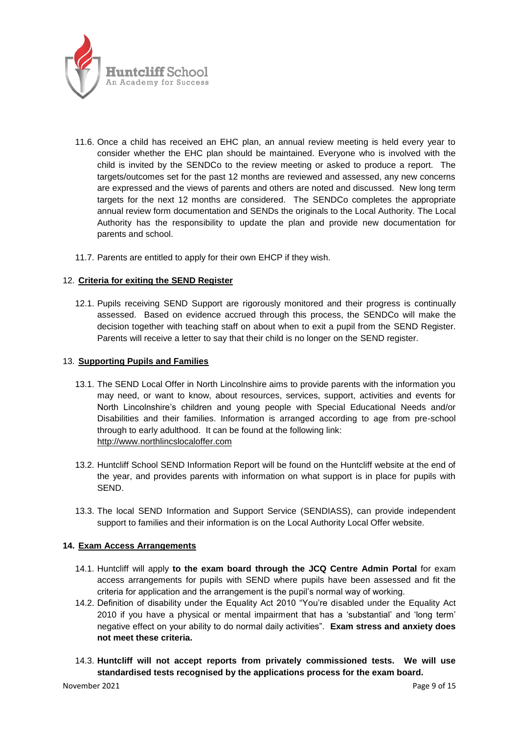

- 11.6. Once a child has received an EHC plan, an annual review meeting is held every year to consider whether the EHC plan should be maintained. Everyone who is involved with the child is invited by the SENDCo to the review meeting or asked to produce a report. The targets/outcomes set for the past 12 months are reviewed and assessed, any new concerns are expressed and the views of parents and others are noted and discussed. New long term targets for the next 12 months are considered. The SENDCo completes the appropriate annual review form documentation and SENDs the originals to the Local Authority. The Local Authority has the responsibility to update the plan and provide new documentation for parents and school.
- 11.7. Parents are entitled to apply for their own EHCP if they wish.

#### 12. **Criteria for exiting the SEND Register**

12.1. Pupils receiving SEND Support are rigorously monitored and their progress is continually assessed. Based on evidence accrued through this process, the SENDCo will make the decision together with teaching staff on about when to exit a pupil from the SEND Register. Parents will receive a letter to say that their child is no longer on the SEND register.

#### 13. **Supporting Pupils and Families**

- 13.1. The SEND Local Offer in North Lincolnshire aims to provide parents with the information you may need, or want to know, about resources, services, support, activities and events for North Lincolnshire's children and young people with Special Educational Needs and/or Disabilities and their families. Information is arranged according to age from pre-school through to early adulthood. It can be found at the following link: [http://www.northlincslocaloffer.com](http://www.northlincslocaloffer.com/)
- 13.2. Huntcliff School SEND Information Report will be found on the Huntcliff website at the end of the year, and provides parents with information on what support is in place for pupils with SEND.
- 13.3. The local SEND Information and Support Service (SENDIASS), can provide independent support to families and their information is on the Local Authority Local Offer website.

#### **14. Exam Access Arrangements**

- 14.1. Huntcliff will apply **to the exam board through the JCQ Centre Admin Portal** for exam access arrangements for pupils with SEND where pupils have been assessed and fit the criteria for application and the arrangement is the pupil's normal way of working.
- 14.2. Definition of disability under the Equality Act 2010 "You're disabled under the Equality Act 2010 if you have a physical or mental impairment that has a 'substantial' and 'long term' negative effect on your ability to do normal daily activities". **Exam stress and anxiety does not meet these criteria.**
- 14.3. **Huntcliff will not accept reports from privately commissioned tests. We will use standardised tests recognised by the applications process for the exam board.**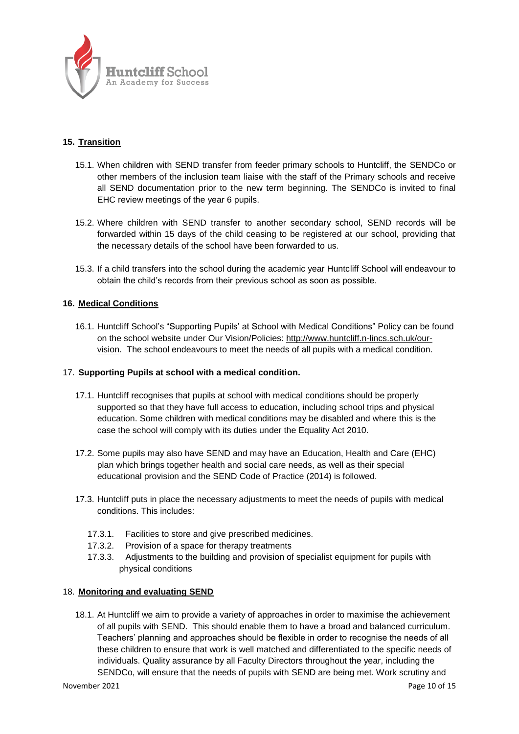

## **15. Transition**

- 15.1. When children with SEND transfer from feeder primary schools to Huntcliff, the SENDCo or other members of the inclusion team liaise with the staff of the Primary schools and receive all SEND documentation prior to the new term beginning. The SENDCo is invited to final EHC review meetings of the year 6 pupils.
- 15.2. Where children with SEND transfer to another secondary school, SEND records will be forwarded within 15 days of the child ceasing to be registered at our school, providing that the necessary details of the school have been forwarded to us.
- 15.3. If a child transfers into the school during the academic year Huntcliff School will endeavour to obtain the child's records from their previous school as soon as possible.

#### **16. Medical Conditions**

16.1. Huntcliff School's "Supporting Pupils' at School with Medical Conditions" Policy can be found on the school website under Our Vision/Policies: [http://www.huntcliff.n-lincs.sch.uk/our](http://www.huntcliff.n-lincs.sch.uk/our-vision)[vision.](http://www.huntcliff.n-lincs.sch.uk/our-vision) The school endeavours to meet the needs of all pupils with a medical condition.

#### 17. **Supporting Pupils at school with a medical condition.**

- 17.1. Huntcliff recognises that pupils at school with medical conditions should be properly supported so that they have full access to education, including school trips and physical education. Some children with medical conditions may be disabled and where this is the case the school will comply with its duties under the Equality Act 2010.
- 17.2. Some pupils may also have SEND and may have an Education, Health and Care (EHC) plan which brings together health and social care needs, as well as their special educational provision and the SEND Code of Practice (2014) is followed.
- 17.3. Huntcliff puts in place the necessary adjustments to meet the needs of pupils with medical conditions. This includes:
	- 17.3.1. Facilities to store and give prescribed medicines.
	- 17.3.2. Provision of a space for therapy treatments
	- 17.3.3. Adjustments to the building and provision of specialist equipment for pupils with physical conditions

#### 18. **Monitoring and evaluating SEND**

18.1. At Huntcliff we aim to provide a variety of approaches in order to maximise the achievement of all pupils with SEND. This should enable them to have a broad and balanced curriculum. Teachers' planning and approaches should be flexible in order to recognise the needs of all these children to ensure that work is well matched and differentiated to the specific needs of individuals. Quality assurance by all Faculty Directors throughout the year, including the SENDCo, will ensure that the needs of pupils with SEND are being met. Work scrutiny and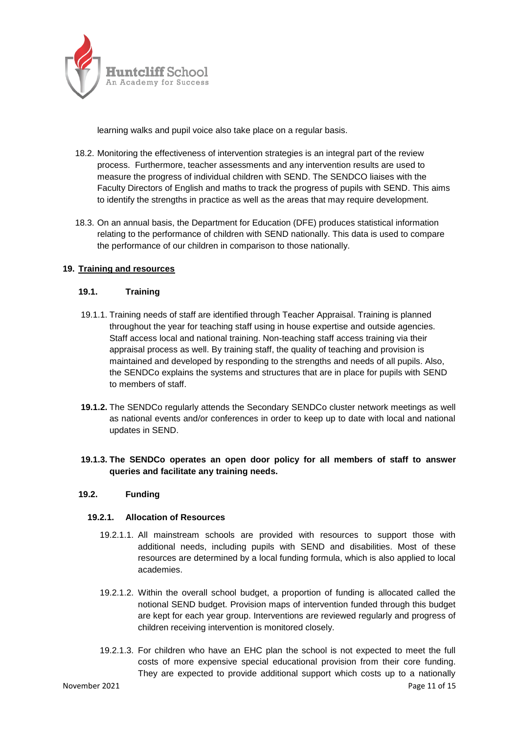

learning walks and pupil voice also take place on a regular basis.

- 18.2. Monitoring the effectiveness of intervention strategies is an integral part of the review process. Furthermore, teacher assessments and any intervention results are used to measure the progress of individual children with SEND. The SENDCO liaises with the Faculty Directors of English and maths to track the progress of pupils with SEND. This aims to identify the strengths in practice as well as the areas that may require development.
- 18.3. On an annual basis, the Department for Education (DFE) produces statistical information relating to the performance of children with SEND nationally. This data is used to compare the performance of our children in comparison to those nationally.

#### **19. Training and resources**

#### **19.1. Training**

- 19.1.1. Training needs of staff are identified through Teacher Appraisal. Training is planned throughout the year for teaching staff using in house expertise and outside agencies. Staff access local and national training. Non-teaching staff access training via their appraisal process as well. By training staff, the quality of teaching and provision is maintained and developed by responding to the strengths and needs of all pupils. Also, the SENDCo explains the systems and structures that are in place for pupils with SEND to members of staff.
- **19.1.2.** The SENDCo regularly attends the Secondary SENDCo cluster network meetings as well as national events and/or conferences in order to keep up to date with local and national updates in SEND.

#### **19.1.3. The SENDCo operates an open door policy for all members of staff to answer queries and facilitate any training needs.**

#### **19.2. Funding**

#### **19.2.1. Allocation of Resources**

- 19.2.1.1. All mainstream schools are provided with resources to support those with additional needs, including pupils with SEND and disabilities. Most of these resources are determined by a local funding formula, which is also applied to local academies.
- 19.2.1.2. Within the overall school budget, a proportion of funding is allocated called the notional SEND budget. Provision maps of intervention funded through this budget are kept for each year group. Interventions are reviewed regularly and progress of children receiving intervention is monitored closely.
- November 2021 **Page 11 of 15** 19.2.1.3. For children who have an EHC plan the school is not expected to meet the full costs of more expensive special educational provision from their core funding. They are expected to provide additional support which costs up to a nationally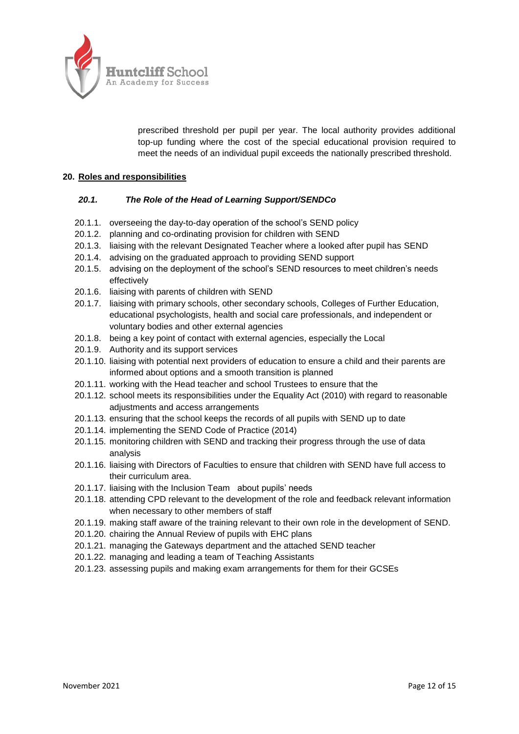

prescribed threshold per pupil per year. The local authority provides additional top-up funding where the cost of the special educational provision required to meet the needs of an individual pupil exceeds the nationally prescribed threshold.

#### **20. Roles and responsibilities**

#### *20.1. The Role of the Head of Learning Support/SENDCo*

- 20.1.1. overseeing the day-to-day operation of the school's SEND policy
- 20.1.2. planning and co-ordinating provision for children with SEND
- 20.1.3. liaising with the relevant Designated Teacher where a looked after pupil has SEND
- 20.1.4. advising on the graduated approach to providing SEND support
- 20.1.5. advising on the deployment of the school's SEND resources to meet children's needs effectively
- 20.1.6. liaising with parents of children with SEND
- 20.1.7. liaising with primary schools, other secondary schools, Colleges of Further Education, educational psychologists, health and social care professionals, and independent or voluntary bodies and other external agencies
- 20.1.8. being a key point of contact with external agencies, especially the Local
- 20.1.9. Authority and its support services
- 20.1.10. liaising with potential next providers of education to ensure a child and their parents are informed about options and a smooth transition is planned
- 20.1.11. working with the Head teacher and school Trustees to ensure that the
- 20.1.12. school meets its responsibilities under the Equality Act (2010) with regard to reasonable adjustments and access arrangements
- 20.1.13. ensuring that the school keeps the records of all pupils with SEND up to date
- 20.1.14. implementing the SEND Code of Practice (2014)
- 20.1.15. monitoring children with SEND and tracking their progress through the use of data analysis
- 20.1.16. liaising with Directors of Faculties to ensure that children with SEND have full access to their curriculum area.
- 20.1.17. liaising with the Inclusion Team about pupils' needs
- 20.1.18. attending CPD relevant to the development of the role and feedback relevant information when necessary to other members of staff
- 20.1.19. making staff aware of the training relevant to their own role in the development of SEND.
- 20.1.20. chairing the Annual Review of pupils with EHC plans
- 20.1.21. managing the Gateways department and the attached SEND teacher
- 20.1.22. managing and leading a team of Teaching Assistants
- 20.1.23. assessing pupils and making exam arrangements for them for their GCSEs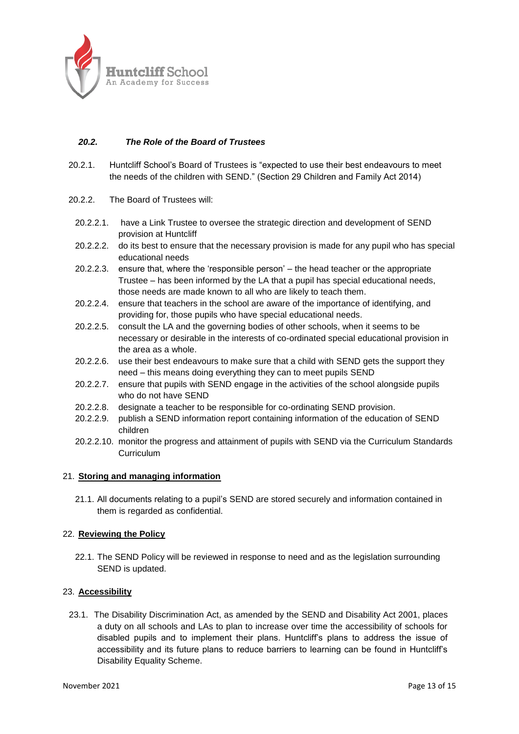

#### *20.2. The Role of the Board of Trustees*

- 20.2.1. Huntcliff School's Board of Trustees is "expected to use their best endeavours to meet the needs of the children with SEND." (Section 29 Children and Family Act 2014)
- 20.2.2. The Board of Trustees will:
	- 20.2.2.1. have a Link Trustee to oversee the strategic direction and development of SEND provision at Huntcliff
	- 20.2.2.2. do its best to ensure that the necessary provision is made for any pupil who has special educational needs
	- 20.2.2.3. ensure that, where the 'responsible person' the head teacher or the appropriate Trustee – has been informed by the LA that a pupil has special educational needs, those needs are made known to all who are likely to teach them.
	- 20.2.2.4. ensure that teachers in the school are aware of the importance of identifying, and providing for, those pupils who have special educational needs.
	- 20.2.2.5. consult the LA and the governing bodies of other schools, when it seems to be necessary or desirable in the interests of co-ordinated special educational provision in the area as a whole.
	- 20.2.2.6. use their best endeavours to make sure that a child with SEND gets the support they need – this means doing everything they can to meet pupils SEND
	- 20.2.2.7. ensure that pupils with SEND engage in the activities of the school alongside pupils who do not have SEND
	- 20.2.2.8. designate a teacher to be responsible for co-ordinating SEND provision.
	- 20.2.2.9. publish a SEND information report containing information of the education of SEND children
	- 20.2.2.10. monitor the progress and attainment of pupils with SEND via the Curriculum Standards **Curriculum**

#### 21. **Storing and managing information**

21.1. All documents relating to a pupil's SEND are stored securely and information contained in them is regarded as confidential.

#### 22. **Reviewing the Policy**

22.1. The SEND Policy will be reviewed in response to need and as the legislation surrounding SEND is updated.

#### 23. **Accessibility**

23.1. The Disability Discrimination Act, as amended by the SEND and Disability Act 2001, places a duty on all schools and LAs to plan to increase over time the accessibility of schools for disabled pupils and to implement their plans. Huntcliff's plans to address the issue of accessibility and its future plans to reduce barriers to learning can be found in Huntcliff's Disability Equality Scheme.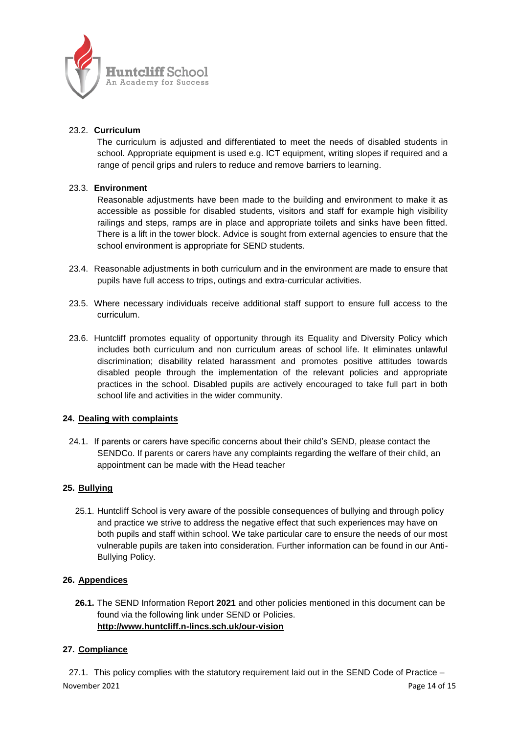

#### 23.2. **Curriculum**

The curriculum is adjusted and differentiated to meet the needs of disabled students in school. Appropriate equipment is used e.g. ICT equipment, writing slopes if required and a range of pencil grips and rulers to reduce and remove barriers to learning.

#### 23.3. **Environment**

Reasonable adjustments have been made to the building and environment to make it as accessible as possible for disabled students, visitors and staff for example high visibility railings and steps, ramps are in place and appropriate toilets and sinks have been fitted. There is a lift in the tower block. Advice is sought from external agencies to ensure that the school environment is appropriate for SEND students.

- 23.4. Reasonable adjustments in both curriculum and in the environment are made to ensure that pupils have full access to trips, outings and extra-curricular activities.
- 23.5. Where necessary individuals receive additional staff support to ensure full access to the curriculum.
- 23.6. Huntcliff promotes equality of opportunity through its Equality and Diversity Policy which includes both curriculum and non curriculum areas of school life. It eliminates unlawful discrimination; disability related harassment and promotes positive attitudes towards disabled people through the implementation of the relevant policies and appropriate practices in the school. Disabled pupils are actively encouraged to take full part in both school life and activities in the wider community.

#### **24. Dealing with complaints**

24.1. If parents or carers have specific concerns about their child's SEND, please contact the SENDCo. If parents or carers have any complaints regarding the welfare of their child, an appointment can be made with the Head teacher

#### **25. Bullying**

25.1. Huntcliff School is very aware of the possible consequences of bullying and through policy and practice we strive to address the negative effect that such experiences may have on both pupils and staff within school. We take particular care to ensure the needs of our most vulnerable pupils are taken into consideration. Further information can be found in our Anti-Bullying Policy.

#### **26. Appendices**

**26.1.** The SEND Information Report **2021** and other policies mentioned in this document can be found via the following link under SEND or Policies. **<http://www.huntcliff.n-lincs.sch.uk/our-vision>**

### **27. Compliance**

November 2021 **Page 14 of 15** 27.1. This policy complies with the statutory requirement laid out in the SEND Code of Practice –